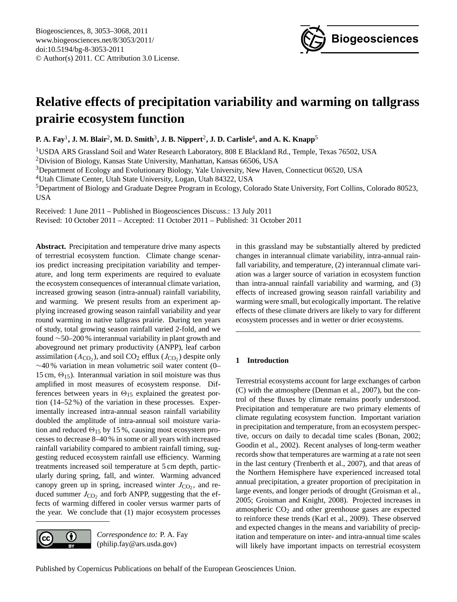

# <span id="page-0-0"></span>**Relative effects of precipitation variability and warming on tallgrass prairie ecosystem function**

**P. A. Fay**<sup>1</sup> **, J. M. Blair**<sup>2</sup> **, M. D. Smith**<sup>3</sup> **, J. B. Nippert**<sup>2</sup> **, J. D. Carlisle**<sup>4</sup> **, and A. K. Knapp**<sup>5</sup>

<sup>1</sup>USDA ARS Grassland Soil and Water Research Laboratory, 808 E Blackland Rd., Temple, Texas 76502, USA

<sup>2</sup>Division of Biology, Kansas State University, Manhattan, Kansas 66506, USA

<sup>3</sup>Department of Ecology and Evolutionary Biology, Yale University, New Haven, Connecticut 06520, USA

<sup>4</sup>Utah Climate Center, Utah State University, Logan, Utah 84322, USA

<sup>5</sup>Department of Biology and Graduate Degree Program in Ecology, Colorado State University, Fort Collins, Colorado 80523, USA

Received: 1 June 2011 – Published in Biogeosciences Discuss.: 13 July 2011

Revised: 10 October 2011 – Accepted: 11 October 2011 – Published: 31 October 2011

**Abstract.** Precipitation and temperature drive many aspects of terrestrial ecosystem function. Climate change scenarios predict increasing precipitation variability and temperature, and long term experiments are required to evaluate the ecosystem consequences of interannual climate variation, increased growing season (intra-annual) rainfall variability, and warming. We present results from an experiment applying increased growing season rainfall variability and year round warming in native tallgrass prairie. During ten years of study, total growing season rainfall varied 2-fold, and we found ∼50–200 % interannual variability in plant growth and aboveground net primary productivity (ANPP), leaf carbon assimilation ( $A_{CO_2}$ ), and soil  $CO_2$  efflux ( $J_{CO_2}$ ) despite only ∼40 % variation in mean volumetric soil water content (0– 15 cm,  $\Theta_{15}$ ). Interannual variation in soil moisture was thus amplified in most measures of ecosystem response. Differences between years in  $\Theta_{15}$  explained the greatest portion (14–52 %) of the variation in these processes. Experimentally increased intra-annual season rainfall variability doubled the amplitude of intra-annual soil moisture variation and reduced  $\Theta_{15}$  by 15%, causing most ecosystem processes to decrease 8–40 % in some or all years with increased rainfall variability compared to ambient rainfall timing, suggesting reduced ecosystem rainfall use efficiency. Warming treatments increased soil temperature at 5 cm depth, particularly during spring, fall, and winter. Warming advanced canopy green up in spring, increased winter  $J_{\text{CO}_2}$ , and reduced summer  $J_{\text{CO}_2}$  and forb ANPP, suggesting that the effects of warming differed in cooler versus warmer parts of the year. We conclude that (1) major ecosystem processes



*Correspondence to:* P. A. Fay (philip.fay@ars.usda.gov)

in this grassland may be substantially altered by predicted changes in interannual climate variability, intra-annual rainfall variability, and temperature, (2) interannual climate variation was a larger source of variation in ecosystem function than intra-annual rainfall variability and warming, and (3) effects of increased growing season rainfall variability and warming were small, but ecologically important. The relative effects of these climate drivers are likely to vary for different ecosystem processes and in wetter or drier ecosystems.

# **1 Introduction**

Terrestrial ecosystems account for large exchanges of carbon (C) with the atmosphere (Denman et al., 2007), but the control of these fluxes by climate remains poorly understood. Precipitation and temperature are two primary elements of climate regulating ecosystem function. Important variation in precipitation and temperature, from an ecosystem perspective, occurs on daily to decadal time scales (Bonan, 2002; Goodin et al., 2002). Recent analyses of long-term weather records show that temperatures are warming at a rate not seen in the last century (Trenberth et al., 2007), and that areas of the Northern Hemisphere have experienced increased total annual precipitation, a greater proportion of precipitation in large events, and longer periods of drought (Groisman et al., 2005; Groisman and Knight, 2008). Projected increases in atmospheric  $CO<sub>2</sub>$  and other greenhouse gases are expected to reinforce these trends (Karl et al., 2009). These observed and expected changes in the means and variability of precipitation and temperature on inter- and intra-annual time scales will likely have important impacts on terrestrial ecosystem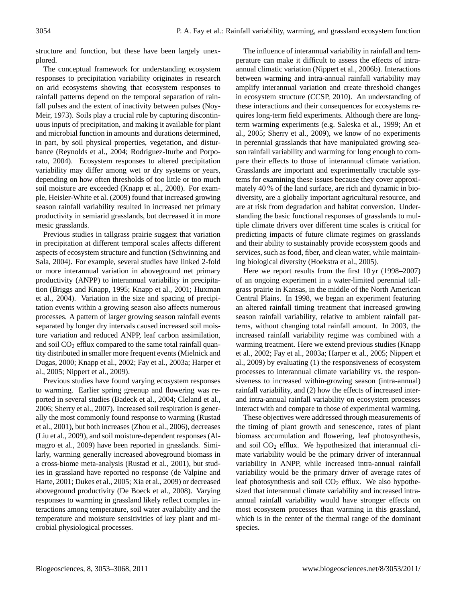structure and function, but these have been largely unexplored.

The conceptual framework for understanding ecosystem responses to precipitation variability originates in research on arid ecosystems showing that ecosystem responses to rainfall patterns depend on the temporal separation of rainfall pulses and the extent of inactivity between pulses (Noy-Meir, 1973). Soils play a crucial role by capturing discontinuous inputs of precipitation, and making it available for plant and microbial function in amounts and durations determined, in part, by soil physical properties, vegetation, and disturbance (Reynolds et al., 2004; Rodriguez-Iturbe and Porporato, 2004). Ecosystem responses to altered precipitation variability may differ among wet or dry systems or years, depending on how often thresholds of too little or too much soil moisture are exceeded (Knapp et al., 2008). For example, Heisler-White et al. (2009) found that increased growing season rainfall variability resulted in increased net primary productivity in semiarid grasslands, but decreased it in more mesic grasslands.

Previous studies in tallgrass prairie suggest that variation in precipitation at different temporal scales affects different aspects of ecosystem structure and function (Schwinning and Sala, 2004). For example, several studies have linked 2-fold or more interannual variation in aboveground net primary productivity (ANPP) to interannual variability in precipitation (Briggs and Knapp, 1995; Knapp et al., 2001; Huxman et al., 2004). Variation in the size and spacing of precipitation events within a growing season also affects numerous processes. A pattern of larger growing season rainfall events separated by longer dry intervals caused increased soil moisture variation and reduced ANPP, leaf carbon assimilation, and soil  $CO<sub>2</sub>$  efflux compared to the same total rainfall quantity distributed in smaller more frequent events (Mielnick and Dugas, 2000; Knapp et al., 2002; Fay et al., 2003a; Harper et al., 2005; Nippert et al., 2009).

Previous studies have found varying ecosystem responses to warming. Earlier spring greenup and flowering was reported in several studies (Badeck et al., 2004; Cleland et al., 2006; Sherry et al., 2007). Increased soil respiration is generally the most commonly found response to warming (Rustad et al., 2001), but both increases (Zhou et al., 2006), decreases (Liu et al., 2009), and soil moisture-dependent responses (Almagro et al., 2009) have been reported in grasslands. Similarly, warming generally increased aboveground biomass in a cross-biome meta-analysis (Rustad et al., 2001), but studies in grassland have reported no response (de Valpine and Harte, 2001; Dukes et al., 2005; Xia et al., 2009) or decreased aboveground productivity (De Boeck et al., 2008). Varying responses to warming in grassland likely reflect complex interactions among temperature, soil water availability and the temperature and moisture sensitivities of key plant and microbial physiological processes.

The influence of interannual variability in rainfall and temperature can make it difficult to assess the effects of intraannual climatic variation (Nippert et al., 2006b). Interactions between warming and intra-annual rainfall variability may amplify interannual variation and create threshold changes in ecosystem structure (CCSP, 2010). An understanding of these interactions and their consequences for ecosystems requires long-term field experiments. Although there are longterm warming experiments (e.g. Saleska et al., 1999; An et al., 2005; Sherry et al., 2009), we know of no experiments in perennial grasslands that have manipulated growing season rainfall variability and warming for long enough to compare their effects to those of interannual climate variation. Grasslands are important and experimentally tractable systems for examining these issues because they cover approximately 40 % of the land surface, are rich and dynamic in biodiversity, are a globally important agricultural resource, and are at risk from degradation and habitat conversion. Understanding the basic functional responses of grasslands to multiple climate drivers over different time scales is critical for predicting impacts of future climate regimes on grasslands and their ability to sustainably provide ecosystem goods and services, such as food, fiber, and clean water, while maintaining biological diversity (Hoekstra et al., 2005).

Here we report results from the first 10 yr (1998–2007) of an ongoing experiment in a water-limited perennial tallgrass prairie in Kansas, in the middle of the North American Central Plains. In 1998, we began an experiment featuring an altered rainfall timing treatment that increased growing season rainfall variability, relative to ambient rainfall patterns, without changing total rainfall amount. In 2003, the increased rainfall variability regime was combined with a warming treatment. Here we extend previous studies (Knapp et al., 2002; Fay et al., 2003a; Harper et al., 2005; Nippert et al., 2009) by evaluating (1) the responsiveness of ecosystem processes to interannual climate variability vs. the responsiveness to increased within-growing season (intra-annual) rainfall variability, and (2) how the effects of increased interand intra-annual rainfall variability on ecosystem processes interact with and compare to those of experimental warming.

These objectives were addressed through measurements of the timing of plant growth and senescence, rates of plant biomass accumulation and flowering, leaf photosynthesis, and soil  $CO<sub>2</sub>$  efflux. We hypothesized that interannual climate variability would be the primary driver of interannual variability in ANPP, while increased intra-annual rainfall variability would be the primary driver of average rates of leaf photosynthesis and soil  $CO<sub>2</sub>$  efflux. We also hypothesized that interannual climate variability and increased intraannual rainfall variability would have stronger effects on most ecosystem processes than warming in this grassland, which is in the center of the thermal range of the dominant species.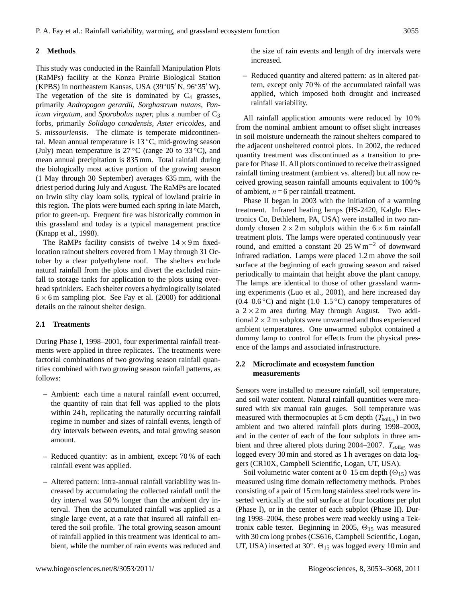# **2 Methods**

This study was conducted in the Rainfall Manipulation Plots (RaMPs) facility at the Konza Prairie Biological Station (KPBS) in northeastern Kansas, USA (39 $\degree$ 05 $'$  N, 96 $\degree$ 35 $'$  W). The vegetation of the site is dominated by  $C_4$  grasses, primarily *Andropogon gerardii*, *Sorghastrum nutans*, *Panicum virgatum*, and *Sporobolus asper*, plus a number of C<sub>3</sub> forbs, primarily *Solidago canadensis*, *Aster ericoides*, and *S. missouriensis*. The climate is temperate midcontinental. Mean annual temperature is  $13\text{ °C}$ , mid-growing season (July) mean temperature is  $27^{\circ}$ C (range 20 to 33 °C), and mean annual precipitation is 835 mm. Total rainfall during the biologically most active portion of the growing season (1 May through 30 September) averages 635 mm, with the driest period during July and August. The RaMPs are located on Irwin silty clay loam soils, typical of lowland prairie in this region. The plots were burned each spring in late March, prior to green-up. Frequent fire was historically common in this grassland and today is a typical management practice (Knapp et al., 1998).

The RaMPs facility consists of twelve  $14 \times 9$  m fixedlocation rainout shelters covered from 1 May through 31 October by a clear polyethylene roof. The shelters exclude natural rainfall from the plots and divert the excluded rainfall to storage tanks for application to the plots using overhead sprinklers. Each shelter covers a hydrologically isolated  $6 \times 6$  m sampling plot. See Fay et al. (2000) for additional details on the rainout shelter design.

## **2.1 Treatments**

During Phase I, 1998–2001, four experimental rainfall treatments were applied in three replicates. The treatments were factorial combinations of two growing season rainfall quantities combined with two growing season rainfall patterns, as follows:

- **–** Ambient: each time a natural rainfall event occurred, the quantity of rain that fell was applied to the plots within 24 h, replicating the naturally occurring rainfall regime in number and sizes of rainfall events, length of dry intervals between events, and total growing season amount.
- **–** Reduced quantity: as in ambient, except 70 % of each rainfall event was applied.
- **–** Altered pattern: intra-annual rainfall variability was increased by accumulating the collected rainfall until the dry interval was 50 % longer than the ambient dry interval. Then the accumulated rainfall was applied as a single large event, at a rate that insured all rainfall entered the soil profile. The total growing season amount of rainfall applied in this treatment was identical to ambient, while the number of rain events was reduced and

the size of rain events and length of dry intervals were increased.

**–** Reduced quantity and altered pattern: as in altered pattern, except only 70 % of the accumulated rainfall was applied, which imposed both drought and increased rainfall variability.

All rainfall application amounts were reduced by 10 % from the nominal ambient amount to offset slight increases in soil moisture underneath the rainout shelters compared to the adjacent unsheltered control plots. In 2002, the reduced quantity treatment was discontinued as a transition to prepare for Phase II. All plots continued to receive their assigned rainfall timing treatment (ambient vs. altered) but all now received growing season rainfall amounts equivalent to 100 % of ambient,  $n = 6$  per rainfall treatment.

Phase II began in 2003 with the initiation of a warming treatment. Infrared heating lamps (HS-2420, Kalglo Electronics Co, Bethlehem, PA, USA) were installed in two randomly chosen  $2 \times 2$  m subplots within the  $6 \times 6$  m rainfall treatment plots. The lamps were operated continuously year round, and emitted a constant 20–25 W m−<sup>2</sup> of downward infrared radiation. Lamps were placed 1.2 m above the soil surface at the beginning of each growing season and raised periodically to maintain that height above the plant canopy. The lamps are identical to those of other grassland warming experiments (Luo et al., 2001), and here increased day  $(0.4–0.6\degree C)$  and night  $(1.0–1.5\degree C)$  canopy temperatures of a  $2 \times 2$  m area during May through August. Two additional  $2 \times 2$  m subplots were unwarmed and thus experienced ambient temperatures. One unwarmed subplot contained a dummy lamp to control for effects from the physical presence of the lamps and associated infrastructure.

## **2.2 Microclimate and ecosystem function measurements**

Sensors were installed to measure rainfall, soil temperature, and soil water content. Natural rainfall quantities were measured with six manual rain gauges. Soil temperature was measured with thermocouples at 5 cm depth  $(T_{\text{solid}})$  in two ambient and two altered rainfall plots during 1998–2003, and in the center of each of the four subplots in three ambient and three altered plots during 2004–2007.  $T_{\text{sol}_05}$  was logged every 30 min and stored as 1 h averages on data loggers (CR10X, Campbell Scientific, Logan, UT, USA).

Soil volumetric water content at  $0-15$  cm depth  $(\Theta_{15})$  was measured using time domain reflectometry methods. Probes consisting of a pair of 15 cm long stainless steel rods were inserted vertically at the soil surface at four locations per plot (Phase I), or in the center of each subplot (Phase II). During 1998–2004, these probes were read weekly using a Tektronix cable tester. Beginning in 2005,  $\Theta_{15}$  was measured with 30 cm long probes (CS616, Campbell Scientific, Logan, UT, USA) inserted at 30°.  $\Theta_{15}$  was logged every 10 min and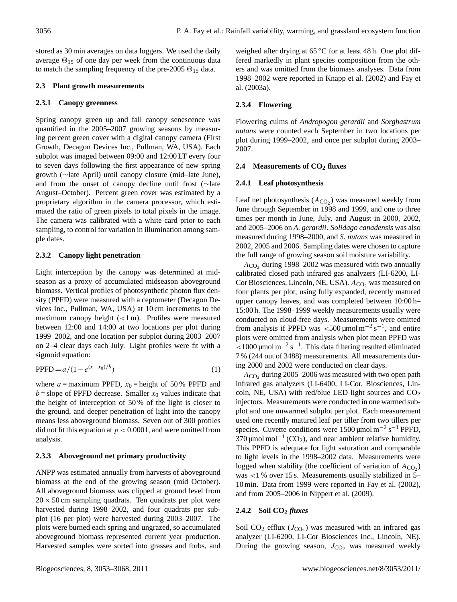stored as 30 min averages on data loggers. We used the daily average  $\Theta_{15}$  of one day per week from the continuous data to match the sampling frequency of the pre-2005  $\Theta_{15}$  data.

# **2.3 Plant growth measurements**

# **2.3.1 Canopy greenness**

Spring canopy green up and fall canopy senescence was quantified in the 2005–2007 growing seasons by measuring percent green cover with a digital canopy camera (First Growth, Decagon Devices Inc., Pullman, WA, USA). Each subplot was imaged between 09:00 and 12:00 LT every four to seven days following the first appearance of new spring growth (∼late April) until canopy closure (mid–late June), and from the onset of canopy decline until frost (∼late August–October). Percent green cover was estimated by a proprietary algorithm in the camera processor, which estimated the ratio of green pixels to total pixels in the image. The camera was calibrated with a white card prior to each sampling, to control for variation in illumination among sample dates.

# **2.3.2 Canopy light penetration**

Light interception by the canopy was determined at midseason as a proxy of accumulated midseason aboveground biomass. Vertical profiles of photosynthetic photon flux density (PPFD) were measured with a ceptometer (Decagon Devices Inc., Pullman, WA, USA) at 10 cm increments to the maximum canopy height (<1 m). Profiles were measured between 12:00 and 14:00 at two locations per plot during 1999–2002, and one location per subplot during 2003–2007 on 2–4 clear days each July. Light profiles were fit with a sigmoid equation:

$$
PPFD = a/(1 - e^{(x - x_0)/b})
$$
 (1)

where  $a =$  maximum PPFD,  $x_0 =$  height of 50% PPFD and  $b =$ slope of PPFD decrease. Smaller  $x_0$  values indicate that the height of interception of 50 % of the light is closer to the ground, and deeper penetration of light into the canopy means less aboveground biomass. Seven out of 300 profiles did not fit this equation at  $p < 0.0001$ , and were omitted from analysis.

# **2.3.3 Aboveground net primary productivity**

ANPP was estimated annually from harvests of aboveground biomass at the end of the growing season (mid October). All aboveground biomass was clipped at ground level from  $20 \times 50$  cm sampling quadrats. Ten quadrats per plot were harvested during 1998–2002, and four quadrats per subplot (16 per plot) were harvested during 2003–2007. The plots were burned each spring and ungrazed, so accumulated aboveground biomass represented current year production. Harvested samples were sorted into grasses and forbs, and weighed after drying at 65 °C for at least 48 h. One plot differed markedly in plant species composition from the others and was omitted from the biomass analyses. Data from 1998–2002 were reported in Knapp et al. (2002) and Fay et al. (2003a).

# **2.3.4 Flowering**

Flowering culms of *Andropogon gerardii* and *Sorghastrum nutans* were counted each September in two locations per plot during 1999–2002, and once per subplot during 2003– 2007.

# **2.4 Measurements of CO<sup>2</sup> fluxes**

# **2.4.1 Leaf photosynthesis**

Leaf net photosynthesis  $(A_{CO_2})$  was measured weekly from June through September in 1998 and 1999, and one to three times per month in June, July, and August in 2000, 2002, and 2005–2006 on *A. gerardii*. *Solidago canadensis* was also measured during 1998–2000, and *S. nutans* was measured in 2002, 2005 and 2006. Sampling dates were chosen to capture the full range of growing season soil moisture variability.

 $A_{\text{CO}_2}$  during 1998–2002 was measured with two annually calibrated closed path infrared gas analyzers (LI-6200, LI-Cor Biosciences, Lincoln, NE, USA).  $A_{CO}$  was measured on four plants per plot, using fully expanded, recently matured upper canopy leaves, and was completed between 10:00 h– 15:00 h. The 1998–1999 weekly measurements usually were conducted on cloud-free days. Measurements were omitted from analysis if PPFD was <500 µmol  $m^{-2} s^{-1}$ , and entire plots were omitted from analysis when plot mean PPFD was  $<$ 1000 μmol m<sup>-2</sup> s<sup>-1</sup>. This data filtering resulted eliminated 7 % (244 out of 3488) measurements. All measurements during 2000 and 2002 were conducted on clear days.

 $A_{\text{CO}_2}$  during 2005–2006 was measured with two open path infrared gas analyzers (LI-6400, LI-Cor, Biosciences, Lincoln, NE, USA) with red/blue LED light sources and  $CO<sub>2</sub>$ injectors. Measurements were conducted in one warmed subplot and one unwarmed subplot per plot. Each measurement used one recently matured leaf per tiller from two tillers per species. Cuvette conditions were  $1500 \mu$ mol m<sup>-2</sup> s<sup>-1</sup> PPFD,  $370 \mu$ mol mol<sup>-1</sup> (CO<sub>2</sub>), and near ambient relative humidity. This PPFD is adequate for light saturation and comparable to light levels in the 1998–2002 data. Measurements were logged when stability (the coefficient of variation of  $A_{CO_2}$ ) was <1 % over 15 s. Measurements usually stabilized in 5– 10 min. Data from 1999 were reported in Fay et al. (2002), and from 2005–2006 in Nippert et al. (2009).

# **2.4.2 Soil CO<sup>2</sup>** *fluxes*

Soil  $CO_2$  efflux  $(J_{CO_2})$  was measured with an infrared gas analyzer (LI-6200, LI-Cor Biosciences Inc., Lincoln, NE). During the growing season,  $J_{CO_2}$  was measured weekly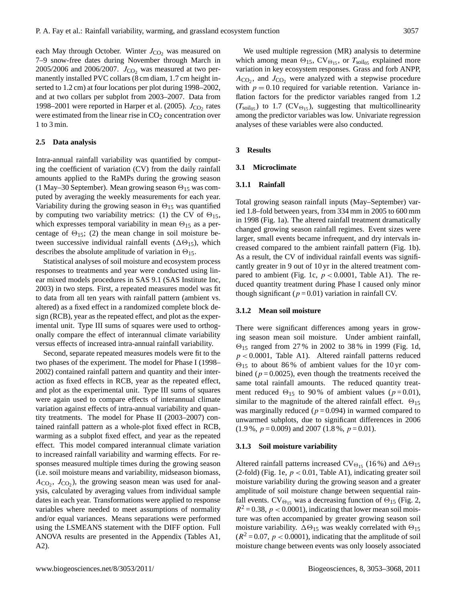each May through October. Winter  $J_{CO_2}$  was measured on 7–9 snow-free dates during November through March in 2005/2006 and 2006/2007.  $J_{CO_2}$  was measured at two permanently installed PVC collars (8 cm diam, 1.7 cm height inserted to 1.2 cm) at four locations per plot during 1998–2002, and at two collars per subplot from 2003–2007. Data from 1998–2001 were reported in Harper et al. (2005).  $J_{\text{CO}_2}$  rates were estimated from the linear rise in  $CO<sub>2</sub>$  concentration over 1 to 3 min.

## **2.5 Data analysis**

Intra-annual rainfall variability was quantified by computing the coefficient of variation (CV) from the daily rainfall amounts applied to the RaMPs during the growing season (1 May–30 September). Mean growing season  $\Theta_{15}$  was computed by averaging the weekly measurements for each year. Variability during the growing season in  $\Theta_{15}$  was quantified by computing two variability metrics: (1) the CV of  $\Theta_{15}$ , which expresses temporal variability in mean  $\Theta_{15}$  as a percentage of  $\Theta_{15}$ ; (2) the mean change in soil moisture between successive individual rainfall events ( $\Delta\Theta_{15}$ ), which describes the absolute amplitude of variation in  $\Theta_{15}$ .

Statistical analyses of soil moisture and ecosystem process responses to treatments and year were conducted using linear mixed models procedures in SAS 9.1 (SAS Institute Inc, 2003) in two steps. First, a repeated measures model was fit to data from all ten years with rainfall pattern (ambient vs. altered) as a fixed effect in a randomized complete block design (RCB), year as the repeated effect, and plot as the experimental unit. Type III sums of squares were used to orthogonally compare the effect of interannual climate variability versus effects of increased intra-annual rainfall variability.

Second, separate repeated measures models were fit to the two phases of the experiment. The model for Phase I (1998– 2002) contained rainfall pattern and quantity and their interaction as fixed effects in RCB, year as the repeated effect, and plot as the experimental unit. Type III sums of squares were again used to compare effects of interannual climate variation against effects of intra-annual variability and quantity treatments. The model for Phase II (2003–2007) contained rainfall pattern as a whole-plot fixed effect in RCB, warming as a subplot fixed effect, and year as the repeated effect. This model compared interannual climate variation to increased rainfall variability and warming effects. For responses measured multiple times during the growing season (i.e. soil moisture means and variability, midseason biomass,  $A_{CO_2}$ ,  $J_{CO_2}$ ), the growing season mean was used for analysis, calculated by averaging values from individual sample dates in each year. Transformations were applied to response variables where needed to meet assumptions of normality and/or equal variances. Means separations were performed using the LSMEANS statement with the DIFF option. Full ANOVA results are presented in the Appendix (Tables A1, A2).

We used multiple regression (MR) analysis to determine which among mean  $\Theta_{15}$ , CV $\Theta_{15}$ , or  $T_{\text{solid}}$  explained more variation in key ecosystem responses. Grass and forb ANPP,  $A_{\text{CO}_2}$ , and  $J_{\text{CO}_2}$  were analyzed with a stepwise procedure with  $p = 0.10$  required for variable retention. Variance inflation factors for the predictor variables ranged from 1.2  $(T_{\text{soil}_05})$  to 1.7 (CV $_{\Theta_{15}}$ ), suggesting that multicollinearity among the predictor variables was low. Univariate regression analyses of these variables were also conducted.

#### **3 Results**

# **3.1 Microclimate**

## **3.1.1 Rainfall**

Total growing season rainfall inputs (May–September) varied 1.8–fold between years, from 334 mm in 2005 to 600 mm in 1998 (Fig. 1a). The altered rainfall treatment dramatically changed growing season rainfall regimes. Event sizes were larger, small events became infrequent, and dry intervals increased compared to the ambient rainfall pattern (Fig. 1b). As a result, the CV of individual rainfall events was significantly greater in 9 out of 10 yr in the altered treatment compared to ambient (Fig. 1c,  $p < 0.0001$ , Table A1). The reduced quantity treatment during Phase I caused only minor though significant ( $p = 0.01$ ) variation in rainfall CV.

#### **3.1.2 Mean soil moisture**

There were significant differences among years in growing season mean soil moisture. Under ambient rainfall,  $\Theta_{15}$  ranged from 27% in 2002 to 38% in 1999 (Fig. 1d,  $p < 0.0001$ , Table A1). Altered rainfall patterns reduced  $\Theta_{15}$  to about 86% of ambient values for the 10 yr combined ( $p = 0.0025$ ), even though the treatments received the same total rainfall amounts. The reduced quantity treatment reduced  $\Theta_{15}$  to 90% of ambient values ( $p = 0.01$ ), similar to the magnitude of the altered rainfall effect.  $\Theta_{15}$ was marginally reduced ( $p = 0.094$ ) in warmed compared to unwarmed subplots, due to significant differences in 2006  $(1.9\%, p=0.009)$  and 2007  $(1.8\%, p=0.01)$ .

#### **3.1.3 Soil moisture variability**

Altered rainfall patterns increased CV $_{\Theta_{15}}$  (16%) and  $\Delta\Theta_{15}$ (2-fold) (Fig. 1e,  $p < 0.01$ , Table A1), indicating greater soil moisture variability during the growing season and a greater amplitude of soil moisture change between sequential rainfall events. CV $_{\Theta_{15}}$  was a decreasing function of  $\Theta_{15}$  (Fig. 2,  $R^2 = 0.38$ ,  $p < 0.0001$ ), indicating that lower mean soil moisture was often accompanied by greater growing season soil moisture variability.  $\Delta\Theta_{15}$  was weakly correlated with  $\Theta_{15}$  $(R^2 = 0.07, p < 0.0001)$ , indicating that the amplitude of soil moisture change between events was only loosely associated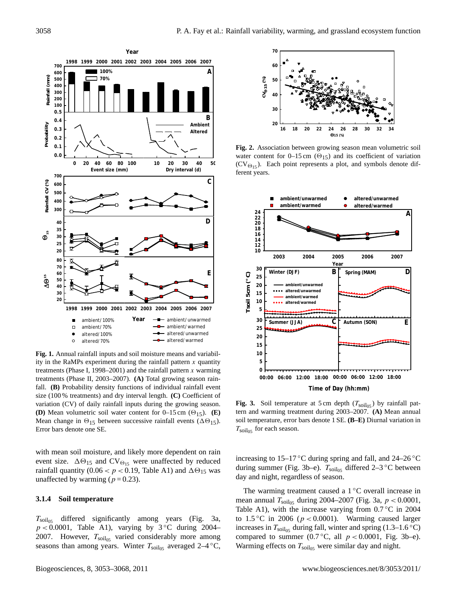

Mean change in  $\Theta_{15}$  between successive rainfall events ( $\Delta\Theta_{15}$ ).<br>Error hars danote one SE **Fig. 1.** Annual rainfall inputs and soil moisture means and variability in the RaMPs experiment during the rainfall pattern  $x$  quantity treatments (Phase I, 1998–2001) and the rainfall pattern  $x$  warming treatments (Phase II, 2003–2007). **(A)** Total growing season rainfall. **(B)** Probability density functions of individual rainfall event size (100 % treatments) and dry interval length. **(C)** Coefficient of variation (CV) of daily rainfall inputs during the growing season. **(D)** Mean volumetric soil water content for  $0-15$  cm  $(\Theta_{15})$ . **(E)** Error bars denote one SE.

with mean soil moisture, and likely more dependent on rain event size.  $\Delta\Theta_{15}$  and CV $_{\Theta_{15}}$  were unaffected by reduced rainfall quantity (0.06 <  $p$  < 0.19, Table A1) and  $\Delta\Theta_{15}$  was unaffected by warming ( $p = 0.23$ ).

### **3.1.4 Soil temperature**

 $T_{\text{soil}_{05}}$  differed significantly among years (Fig. 3a,  $p < 0.0001$ , Table A1), varying by 3 °C during 2004– 2007. However,  $T_{\text{solid}}$  varied considerably more among seasons than among years. Winter  $T_{\text{solid}}$  averaged 2–4 °C,



**Fig. 2.** Association between growing season mean volumetric soil water content for 0–15 cm  $(\Theta_{15})$  and its coefficient of variation  $(CV_{\Theta_{15}})$ . Each point represents a plot, and symbols denote dif $f = \frac{1}{2}$  ferent years.



**Fig. 3.** Soil temperature at 5 cm depth  $(T_{\text{solid}})$  by rainfall pattern and warming treatment during 2003–2007. **(A)** Mean annual soil temperature, error bars denote 1 SE. **(B–E)** Diurnal variation in  $T_{\text{solid}}$  for each season.

increasing to 15–17 °C during spring and fall, and 24–26 °C during summer (Fig. 3b–e).  $T_{\text{solid}}$  differed 2–3 °C between day and night, regardless of season.

The warming treatment caused a  $1 \,^{\circ}\text{C}$  overall increase in mean annual  $T_{\text{solid}}$  during 2004–2007 (Fig. 3a,  $p < 0.0001$ , Table A1), with the increase varying from  $0.7 \degree$ C in 2004 to  $1.5\,^{\circ}\text{C}$  in 2006 ( $p < 0.0001$ ). Warming caused larger increases in  $T_{\text{soil}_05}$  during fall, winter and spring (1.3–1.6 °C) compared to summer (0.7 °C, all  $p < 0.0001$ , Fig. 3b–e). Warming effects on  $T_{\text{solid}}$  were similar day and night.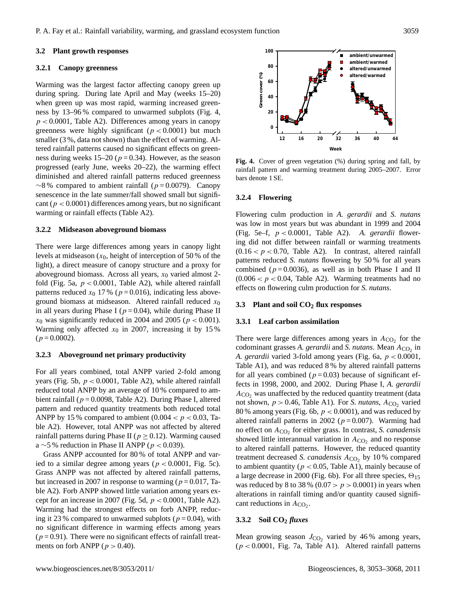## **3.2 Plant growth responses**

#### **3.2.1 Canopy greenness**

Warming was the largest factor affecting canopy green up during spring. During late April and May (weeks 15–20) when green up was most rapid, warming increased greenness by 13–96 % compared to unwarmed subplots (Fig. 4,  $p < 0.0001$ , Table A2). Differences among years in canopy greenness were highly significant ( $p < 0.0001$ ) but much smaller (3 %, data not shown) than the effect of warming. Altered rainfall patterns caused no significant effects on greenness during weeks 15–20 ( $p = 0.34$ ). However, as the season progressed (early June, weeks 20–22), the warming effect diminished and altered rainfall patterns reduced greenness  $~\sim$ 8% compared to ambient rainfall (p = 0.0079). Canopy senescence in the late summer/fall showed small but significant ( $p < 0.0001$ ) differences among years, but no significant warming or rainfall effects (Table A2).

#### **3.2.2 Midseason aboveground biomass**

There were large differences among years in canopy light levels at midseason  $(x_0)$ , height of interception of 50 % of the light), a direct measure of canopy structure and a proxy for aboveground biomass. Across all years,  $x_0$  varied almost 2fold (Fig. 5a,  $p < 0.0001$ , Table A2), while altered rainfall patterns reduced  $x_0$  17% ( $p = 0.016$ ), indicating less aboveground biomass at midseason. Altered rainfall reduced  $x_0$ in all years during Phase I ( $p = 0.04$ ), while during Phase II  $x_0$  was significantly reduced in 2004 and 2005 ( $p < 0.001$ ). Warming only affected  $x_0$  in 2007, increasing it by 15%  $(p = 0.0002)$ .

### **3.2.3 Aboveground net primary productivity**

For all years combined, total ANPP varied 2-fold among years (Fig. 5b,  $p < 0.0001$ , Table A2), while altered rainfall reduced total ANPP by an average of 10 % compared to ambient rainfall ( $p = 0.0098$ , Table A2). During Phase I, altered pattern and reduced quantity treatments both reduced total ANPP by 15 % compared to ambient  $(0.004 < p < 0.03$ , Table A2). However, total ANPP was not affected by altered rainfall patterns during Phase II ( $p \ge 0.12$ ). Warming caused a ∼5 % reduction in Phase II ANPP ( $p < 0.039$ ).

Grass ANPP accounted for 80 % of total ANPP and varied to a similar degree among years ( $p < 0.0001$ , Fig. 5c). Grass ANPP was not affected by altered rainfall patterns, but increased in 2007 in response to warming ( $p = 0.017$ , Table A2). Forb ANPP showed little variation among years except for an increase in 2007 (Fig. 5d,  $p < 0.0001$ , Table A2). Warming had the strongest effects on forb ANPP, reducing it 23 % compared to unwarmed subplots ( $p = 0.04$ ), with no significant difference in warming effects among years  $(p=0.91)$ . There were no significant effects of rainfall treatments on forb ANPP ( $p > 0.40$ ).



**Fig. 4.** Cover of green vegetation (%) during spring and fall, by rainfall pattern and warming treatment during 2005–2007. Error bars denote 1 SE.

#### **3.2.4 Flowering**

Flowering culm production in *A. gerardii* and *S. nutans* was low in most years but was abundant in 1999 and 2004 (Fig. 5e–f, p < 0.0001, Table A2). *A. gerardii* flowering did not differ between rainfall or warming treatments  $(0.16 < p < 0.70$ , Table A2). In contrast, altered rainfall patterns reduced *S. nutans* flowering by 50 % for all years combined ( $p = 0.0036$ ), as well as in both Phase I and II  $(0.006 < p < 0.04$ , Table A2). Warming treatments had no effects on flowering culm production for *S. nutans*.

#### **3.3 Plant and soil CO<sup>2</sup> flux responses**

#### **3.3.1 Leaf carbon assimilation**

There were large differences among years in  $A_{\text{CO}_2}$  for the codominant grasses  $A$ . *gerardii* and  $S$ . *nutans*. Mean  $A_{CO_2}$  in *A. gerardii* varied 3-fold among years (Fig. 6a, p < 0.0001, Table A1), and was reduced 8 % by altered rainfall patterns for all years combined ( $p = 0.03$ ) because of significant effects in 1998, 2000, and 2002. During Phase I, *A. gerardii*  $A_{CO}$ , was unaffected by the reduced quantity treatment (data not shown,  $p > 0.46$ , Table A1). For *S. nutans*,  $A_{CO_2}$  varied 80 % among years (Fig. 6b,  $p < 0.0001$ ), and was reduced by altered rainfall patterns in 2002 ( $p = 0.007$ ). Warming had no effect on  $A_{CO_2}$  for either grass. In contrast, *S. canadensis* showed little interannual variation in  $A_{CO_2}$  and no response to altered rainfall patterns. However, the reduced quantity treatment decreased *S. canadensis*  $A_{CO_2}$  by 10% compared to ambient quantity ( $p < 0.05$ , Table A1), mainly because of a large decrease in 2000 (Fig. 6b). For all three species,  $\Theta_{15}$ was reduced by 8 to 38 % (0.07  $> p$  > 0.0001) in years when alterations in rainfall timing and/or quantity caused significant reductions in  $A_{CO_2}$ .

# **3.3.2 Soil CO<sup>2</sup>** *fluxes*

Mean growing season  $J_{CO_2}$  varied by 46% among years,  $(p < 0.0001$ , Fig. 7a, Table A1). Altered rainfall patterns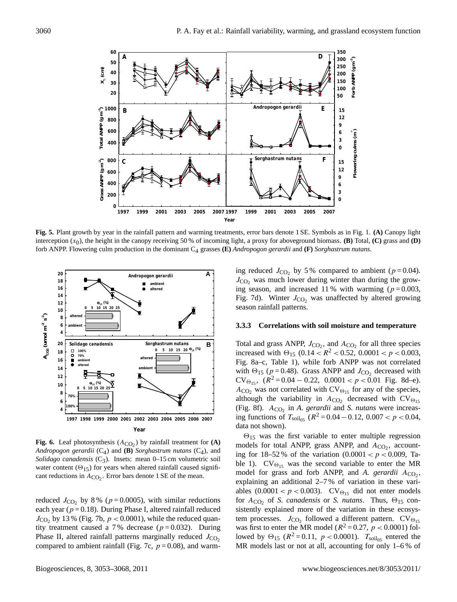

**Fig. 5.** Plant growth by year in the rainfall pattern and warming treatments, error bars denote 1 SE. Symbols as in Fig. 1. **(A)** Canopy light interception  $(x_0)$ , the height in the canopy receiving 50 % of incoming light, a proxy for aboveground biomass. **(B)** Total, **(C)** grass and **(D)** forb ANPP. Flowering culm production in the dominant C4 grasses **(E)** *Andropogon gerardii* and **(F)** *Sorghastrum nutans*.



**Fig. 6.** Leaf photosynthesis  $(A_{CO_2})$  by rainfall treatment for  $(A)$ *Andropogon gerardii*  $(C_4)$  and **(B)** *Sorghastrum nutans*  $(C_4)$ , and *Solidago canadensis* ( $C_3$ ). Insets: mean 0–15 cm volumetric soil water content ( $\Theta_{15}$ ) for years when altered rainfall caused significant reductions in  $A_{CO_2}$ . Error bars denote 1 SE of the mean.

compared to ambient rainfall (Fig. 7c,  $p = 0.08$ ), and warmreduced  $J_{\text{CO}_2}$  by 8% ( $p = 0.0005$ ), with similar reductions each year ( $p = 0.18$ ). During Phase I, altered rainfall reduced  $J_{\text{CO}_2}$  by 13 % (Fig. 7b,  $p < 0.0001$ ), while the reduced quantity treatment caused a 7% decrease ( $p = 0.032$ ). During Phase II, altered rainfall patterns marginally reduced  $J_{\text{CO}_2}$ 

ing reduced  $J_{\text{CO}_2}$  by 5% compared to ambient ( $p = 0.04$ ).  $J_{\text{CO}}$ , was much lower during winter than during the growing season, and increased 11% with warming ( $p = 0.003$ , Fig. 7d). Winter  $J_{CO_2}$  was unaffected by altered growing season rainfall patterns.

#### **3.3.3 Correlations with soil moisture and temperature**

Total and grass ANPP,  $J_{\text{CO}_2}$ , and  $A_{\text{CO}_2}$  for all three species increased with  $\Theta_{15}$  (0.14 <  $R^2$  < 0.52, 0.0001 < p < 0.003, Fig. 8a–c, Table 1), while forb ANPP was not correlated with  $\Theta_{15}$  ( $p = 0.48$ ). Grass ANPP and  $J_{CO_2}$  decreased with  $CV_{\Theta_{15}}$ ,  $(R^2 = 0.04 - 0.22, 0.0001 < p < 0.01$  Fig. 8d–e).  $A_{\text{CO}_2}$  was not correlated with  $\text{CV}_{\Theta_{15}}$  for any of the species, although the variability in  $A_{CO_2}$  decreased with  $CV_{\Theta_{15}}$ (Fig. 8f).  $A_{CO_2}$  in *A. gerardii* and *S. nutans* were increasing functions of  $T_{\text{solid}}$  ( $R^2 = 0.04 - 0.12$ ,  $0.007 < p < 0.04$ , data not shown).

 $\Theta_{15}$  was the first variable to enter multiple regression models for total ANPP, grass ANPP, and  $A_{CO_2}$ , accounting for 18–52% of the variation  $(0.0001 < p < 0.009$ , Table 1).  $CV_{\Theta_{15}}$  was the second variable to enter the MR model for grass and forb ANPP, and  $A$ . gerardii  $A_{CO_2}$ , explaining an additional 2–7 % of variation in these variables  $(0.0001 < p < 0.003)$ . CV $_{\Theta_{15}}$  did not enter models for  $A_{CO_2}$  of *S. canadensis* or *S. nutans*. Thus,  $\Theta_{15}$  consistently explained more of the variation in these ecosystem processes.  $J_{\text{CO}_2}$  followed a different pattern.  $\text{CV}_{\Theta_{15}}$ was first to enter the MR model ( $R^2 = 0.27$ ,  $p < 0.0001$ ) followed by  $\Theta_{15}$  ( $R^2 = 0.11$ ,  $p < 0.0001$ ).  $T_{\text{solid}}$  entered the MR models last or not at all, accounting for only 1–6 % of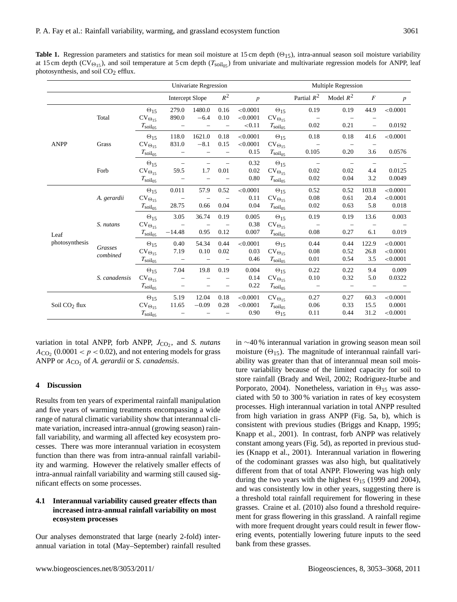**Table 1.** Regression parameters and statistics for mean soil moisture at 15 cm depth  $(\Theta_{15})$ , intra-annual season soil moisture variability at 15 cm depth ( $CV_{\Theta_{15}}$ ), and soil temperature at 5 cm depth ( $T_{\text{solid}}$ ) from univariate and multivariate regression models for ANPP, leaf photosynthesis, and soil  $CO<sub>2</sub>$  efflux.

|                           |                     |                           | <b>Univariate Regression</b>                        |         |                          |          |                           | <b>Multiple Regression</b> |                          |                          |          |  |  |
|---------------------------|---------------------|---------------------------|-----------------------------------------------------|---------|--------------------------|----------|---------------------------|----------------------------|--------------------------|--------------------------|----------|--|--|
|                           |                     |                           | $R^2$<br><b>Intercept Slope</b><br>$\boldsymbol{p}$ |         |                          |          | Partial $\mathbb{R}^2$    | Model $R^2$                | $\boldsymbol{F}$         | $\boldsymbol{p}$         |          |  |  |
|                           | Total               | $\Theta_{15}$             | 279.0                                               | 1480.0  | 0.16                     | < 0.0001 | $\Theta_{15}$             | 0.19                       | 0.19                     | 44.9                     | < 0.0001 |  |  |
|                           |                     | $\text{CV}_{\Theta_{15}}$ | 890.0                                               | $-6.4$  | 0.10                     | < 0.0001 | $\text{CV}_{\Theta_{15}}$ |                            | $\overline{\phantom{0}}$ |                          |          |  |  |
|                           |                     | $T_{\rm soil05}$          | $\overline{\phantom{0}}$                            |         | $\qquad \qquad -$        | < 0.11   | $T_{\rm soil_{05}}$       | 0.02                       | 0.21                     | $\overline{\phantom{0}}$ | 0.0192   |  |  |
|                           |                     | $\Theta_{15}$             | 118.0                                               | 1621.0  | 0.18                     | < 0.0001 | $\Theta_{15}$             | 0.18                       | 0.18                     | 41.6                     | < 0.0001 |  |  |
| <b>ANPP</b>               | Grass               | $\text{CV}_{\Theta_{15}}$ | 831.0                                               | $-8.1$  | 0.15                     | < 0.0001 | $\text{CV}_{\Theta_{15}}$ |                            |                          |                          |          |  |  |
|                           |                     | $T_{\rm{soil}_{05}}$      |                                                     |         | $\overline{\phantom{0}}$ | 0.15     | $T_{\rm soil_{05}}$       | 0.105                      | 0.20                     | 3.6                      | 0.0576   |  |  |
|                           |                     | $\Theta_{15}$             |                                                     |         |                          | 0.32     | $\Theta_{15}$             | $\overline{\phantom{0}}$   | $\overline{\phantom{0}}$ | $\overline{\phantom{0}}$ |          |  |  |
|                           | Forb                | $\text{CV}_{\Theta_{15}}$ | 59.5                                                | 1.7     | 0.01                     | 0.02     | $\text{CV}_{\Theta_{15}}$ | 0.02                       | 0.02                     | 4.4                      | 0.0125   |  |  |
|                           |                     | $T_{\rm soil05}$          |                                                     |         |                          | 0.80     | $T_{\rm soil05}$          | 0.02                       | 0.04                     | 3.2                      | 0.0049   |  |  |
|                           | A. gerardii         | $\Theta_{15}$             | 0.011                                               | 57.9    | 0.52                     | < 0.0001 | $\Theta_{15}$             | 0.52                       | 0.52                     | 103.8                    | < 0.0001 |  |  |
|                           |                     | $\text{CV}_{\Theta_{15}}$ |                                                     |         |                          | 0.11     | $\text{CV}_{\Theta_{15}}$ | 0.08                       | 0.61                     | 20.4                     | < 0.0001 |  |  |
|                           |                     | $T_{\rm soil05}$          | 28.75                                               | 0.66    | 0.04                     | 0.04     | $T_{\rm soil05}$          | 0.02                       | 0.63                     | 5.8                      | 0.018    |  |  |
|                           | S. nutans           | $\Theta_{15}$             | 3.05                                                | 36.74   | 0.19                     | 0.005    | $\Theta_{15}$             | 0.19                       | 0.19                     | 13.6                     | 0.003    |  |  |
| Leaf<br>photosynthesis    |                     | $\text{CV}_{\Theta_{15}}$ |                                                     |         |                          | 0.38     | $\text{CV}_{\Theta_{15}}$ |                            |                          |                          |          |  |  |
|                           |                     | $T_{\rm soil05}$          | $-14.48$                                            | 0.95    | 0.12                     | 0.007    | $T_{\rm soil05}$          | 0.08                       | 0.27                     | 6.1                      | 0.019    |  |  |
|                           | Grasses<br>combined | $\Theta_{15}$             | 0.40                                                | 54.34   | 0.44                     | < 0.0001 | $\Theta_{15}$             | 0.44                       | 0.44                     | 122.9                    | < 0.0001 |  |  |
|                           |                     | $\text{CV}_{\Theta_{15}}$ | 7.19                                                | 0.10    | 0.02                     | 0.03     | $\text{CV}_{\Theta_{15}}$ | 0.08                       | 0.52                     | 26.8                     | < 0.0001 |  |  |
|                           |                     | $T_{\rm soil05}$          | $\overline{\phantom{0}}$                            |         |                          | 0.46     | $T_{\rm soil05}$          | 0.01                       | 0.54                     | 3.5                      | < 0.0001 |  |  |
|                           | S. canadensis       | $\Theta_{15}$             | 7.04                                                | 19.8    | 0.19                     | 0.004    | $\Theta_{15}$             | 0.22                       | 0.22                     | 9.4                      | 0.009    |  |  |
|                           |                     | $\text{CV}_{\Theta_{15}}$ |                                                     |         |                          | 0.14     | $\text{CV}_{\Theta_{15}}$ | 0.10                       | 0.32                     | 5.0                      | 0.0322   |  |  |
|                           |                     | $T_{\rm soil05}$          |                                                     |         |                          | 0.22     | $T_{\rm soil_{05}}$       |                            | $\overline{\phantom{0}}$ |                          |          |  |  |
|                           |                     | $\Theta_{15}$             | 5.19                                                | 12.04   | 0.18                     | < 0.0001 | $\text{CV}_{\Theta_{15}}$ | 0.27                       | 0.27                     | 60.3                     | < 0.0001 |  |  |
| Soil CO <sub>2</sub> flux |                     | $\text{CV}_{\Theta_{15}}$ | 11.65                                               | $-0.09$ | 0.28                     | < 0.0001 | $T_{\rm soil05}$          | 0.06                       | 0.33                     | 15.5                     | 0.0001   |  |  |
|                           |                     | $T_{\rm soil_{05}}$       |                                                     |         |                          | 0.90     | $\Theta_{15}$             | 0.11                       | 0.44                     | 31.2                     | < 0.0001 |  |  |

variation in total ANPP, forb ANPP,  $J_{CO_2}$ , and *S. nutans*  $A_{\text{CO}_2}$  (0.0001 <  $p$  < 0.02), and not entering models for grass ANPP or  $A_{CO_2}$  of *A. gerardii* or *S. canadensis*.

# **4 Discussion**

Results from ten years of experimental rainfall manipulation and five years of warming treatments encompassing a wide range of natural climatic variability show that interannual climate variation, increased intra-annual (growing season) rainfall variability, and warming all affected key ecosystem processes. There was more interannual variation in ecosystem function than there was from intra-annual rainfall variability and warming. However the relatively smaller effects of intra-annual rainfall variability and warming still caused significant effects on some processes.

# **4.1 Interannual variability caused greater effects than increased intra-annual rainfall variability on most ecosystem processes**

Our analyses demonstrated that large (nearly 2-fold) interannual variation in total (May–September) rainfall resulted in ∼40 % interannual variation in growing season mean soil moisture  $(\Theta_{15})$ . The magnitude of interannual rainfall variability was greater than that of interannual mean soil moisture variability because of the limited capacity for soil to store rainfall (Brady and Weil, 2002; Rodriguez-Iturbe and Porporato, 2004). Nonetheless, variation in  $\Theta_{15}$  was associated with 50 to 300 % variation in rates of key ecosystem processes. High interannual variation in total ANPP resulted from high variation in grass ANPP (Fig. 5a, b), which is consistent with previous studies (Briggs and Knapp, 1995; Knapp et al., 2001). In contrast, forb ANPP was relatively constant among years (Fig. 5d), as reported in previous studies (Knapp et al., 2001). Interannual variation in flowering of the codominant grasses was also high, but qualitatively different from that of total ANPP. Flowering was high only during the two years with the highest  $\Theta_{15}$  (1999 and 2004), and was consistently low in other years, suggesting there is a threshold total rainfall requirement for flowering in these grasses. Craine et al. (2010) also found a threshold requirement for grass flowering in this grassland. A rainfall regime with more frequent drought years could result in fewer flowering events, potentially lowering future inputs to the seed bank from these grasses.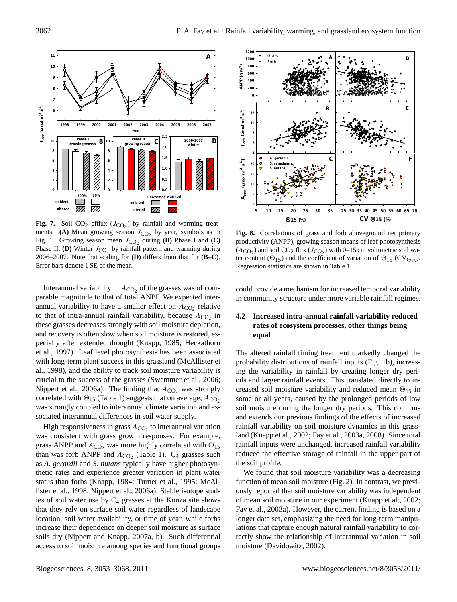

**Fig. 7.** Soil  $CO_2$  efflux  $(J_{CO_2})$  by rainfall and warming treatments. **(A)** Mean growing season  $J_{CO_2}$  by year, symbols as in Fig. 1. Growing season mean  $J_{CO_2}$  during **(B)** Phase I and **(C)** Phase II. **(D)** Winter  $J_{CO_2}$  by rainfall pattern and warming during 2006–2007. Note that scaling for **(D)** differs from that for **(B–C)**. Error bars denote 1 SE of the mean.

parable magnitude to that of total ANPP. We expected inter-Interannual variability in  $A_{CO_2}$  of the grasses was of comannual variability to have a smaller effect on  $A_{\text{CO}_2}$  relative to that of intra-annual rainfall variability, because  $A_{CO_2}$  in these grasses decreases strongly with soil moisture depletion, and recovery is often slow when soil moisture is restored, especially after extended drought (Knapp, 1985; Heckathorn et al., 1997). Leaf level photosynthesis has been associated with long-term plant success in this grassland (McAllister et al., 1998), and the ability to track soil moisture variability is crucial to the success of the grasses (Swemmer et al., 2006; Nippert et al., 2006a). The finding that  $A_{CO_2}$  was strongly correlated with  $\Theta_{15}$  (Table 1) suggests that on average,  $A_{CO_2}$ was strongly coupled to interannual climate variation and associated interannual differences in soil water supply.

High responsiveness in grass  $A_{\rm CO_2}$  to interannual variation was consistent with grass growth responses. For example, grass ANPP and  $A_{CO_2}$  was more highly correlated with  $\Theta_{15}$ than was forb ANPP and  $A_{CO_2}$  (Table 1).  $C_4$  grasses such as *A. gerardii* and *S. nutans* typically have higher photosynthetic rates and experience greater variation in plant water status than forbs (Knapp, 1984; Turner et al., 1995; McAllister et al., 1998; Nippert et al., 2006a). Stable isotope studies of soil water use by  $C_4$  grasses at the Konza site shows that they rely on surface soil water regardless of landscape location, soil water availability, or time of year, while forbs increase their dependence on deeper soil moisture as surface soils dry (Nippert and Knapp, 2007a, b). Such differential access to soil moisture among species and functional groups



**Fig. 8.** Correlations of grass and forb aboveground net primary productivity (ANPP), growing season means of leaf photosynthesis  $(A_{CO_2})$  and soil CO<sub>2</sub> flux  $(J_{CO_2})$  with 0–15 cm volumetric soil water content ( $\Theta_{15}$ ) and the coefficient of variation of  $\Theta_{15}$  (CV $_{\Theta_{15}}$ ). Regression statistics are shown in Table 1.

could provide a mechanism for increased temporal variability in community structure under more variable rainfall regimes.

# rates of ecosystem processes, other things being **4.2 Increased intra-annual rainfall variability reduced equal**

The altered rainfall timing treatment markedly changed the probability distributions of rainfall inputs (Fig. 1b), increasing the variability in rainfall by creating longer dry periods and larger rainfall events. This translated directly to increased soil moisture variability and reduced mean  $\Theta_{15}$  in some or all years, caused by the prolonged periods of low soil moisture during the longer dry periods. This confirms and extends our previous findings of the effects of increased rainfall variability on soil moisture dynamics in this grassland (Knapp et al., 2002; Fay et al., 2003a, 2008). Since total rainfall inputs were unchanged, increased rainfall variability reduced the effective storage of rainfall in the upper part of the soil profile.

We found that soil moisture variability was a decreasing function of mean soil moisture (Fig. 2). In contrast, we previously reported that soil moisture variability was independent of mean soil moisture in our experiment (Knapp et al., 2002; Fay et al., 2003a). However, the current finding is based on a longer data set, emphasizing the need for long-term manipulations that capture enough natural rainfall variability to correctly show the relationship of interannual variation in soil moisture (Davidowitz, 2002).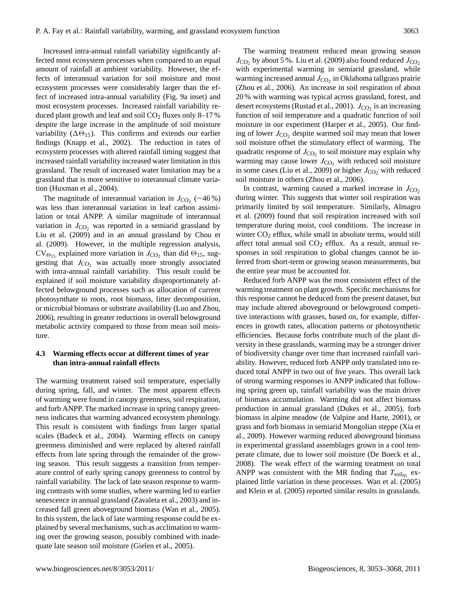Increased intra-annual rainfall variability significantly affected most ecosystem processes when compared to an equal amount of rainfall at ambient variability. However, the effects of interannual variation for soil moisture and most ecosystem processes were considerably larger than the effect of increased intra-annual variability (Fig. 9a inset) and most ecosystem processes. Increased rainfall variability reduced plant growth and leaf and soil CO<sub>2</sub> fluxes only 8-17% despite the large increase in the amplitude of soil moisture variability ( $\Delta\Theta_{15}$ ). This confirms and extends our earlier findings (Knapp et al., 2002). The reduction in rates of ecosystem processes with altered rainfall timing suggest that increased rainfall variability increased water limitation in this grassland. The result of increased water limitation may be a grassland that is more sensitive to interannual climate variation (Huxman et al., 2004).

The magnitude of interannual variation in  $J_{\text{CO}_2}$  (~46%) was less than interannual variation in leaf carbon assimilation or total ANPP. A similar magnitude of interannual variation in  $J_{\text{CO}}$ , was reported in a semiarid grassland by Liu et al. (2009) and in an annual grassland by Chou et al. (2009). However, in the multiple regression analysis,  $CV_{\Theta_{15}}$  explained more variation in  $J_{CO_2}$  than did  $\Theta_{15}$ , suggesting that  $J_{CO_2}$  was actually more strongly associated with intra-annual rainfall variability. This result could be explained if soil moisture variability disproportionately affected belowground processes such as allocation of current photosynthate to roots, root biomass, litter decomposition, or microbial biomass or substrate availability (Luo and Zhou, 2006), resulting in greater reductions in overall belowground metabolic activity compared to those from mean soil moisture.

# **4.3 Warming effects occur at different times of year than intra-annual rainfall effects**

The warming treatment raised soil temperature, especially during spring, fall, and winter. The most apparent effects of warming were found in canopy greenness, soil respiration, and forb ANPP. The marked increase in spring canopy greenness indicates that warming advanced ecosystem phenology. This result is consistent with findings from larger spatial scales (Badeck et al., 2004). Warming effects on canopy greenness diminished and were replaced by altered rainfall effects from late spring through the remainder of the growing season. This result suggests a transition from temperature control of early spring canopy greenness to control by rainfall variability. The lack of late season response to warming contrasts with some studies, where warming led to earlier senescence in annual grassland (Zavaleta et al., 2003) and increased fall green aboveground biomass (Wan et al., 2005). In this system, the lack of late warming response could be explained by several mechanisms, such as acclimation to warming over the growing season, possibly combined with inadequate late season soil moisture (Gielen et al., 2005).

The warming treatment reduced mean growing season  $J_{\text{CO}_2}$  by about 5 %. Liu et al. (2009) also found reduced  $J_{\text{CO}_2}$ with experimental warming in semiarid grassland, while warming increased annual  $J_{\text{CO}_2}$  in Oklahoma tallgrass prairie (Zhou et al., 2006). An increase in soil respiration of about 20 % with warming was typical across grassland, forest, and desert ecosystems (Rustad et al., 2001).  $J_{\text{CO}_2}$  is an increasing function of soil temperature and a quadratic function of soil moisture in our experiment (Harper et al., 2005). Our finding of lower  $J_{\text{CO}_2}$  despite warmed soil may mean that lower soil moisture offset the stimulatory effect of warming. The quadratic response of  $J_{\text{CO}_2}$  to soil moisture may explain why warming may cause lower  $J<sub>CO</sub>$ , with reduced soil moisture in some cases (Liu et al., 2009) or higher  $J_{\text{CO}}$ , with reduced soil moisture in others (Zhou et al., 2006).

In contrast, warming caused a marked increase in  $J_{\text{CO}_2}$ during winter. This suggests that winter soil respiration was primarily limited by soil temperature. Similarly, Almagro et al. (2009) found that soil respiration increased with soil temperature during moist, cool conditions. The increase in winter  $CO<sub>2</sub>$  efflux, while small in absolute terms, would still affect total annual soil  $CO<sub>2</sub>$  efflux. As a result, annual responses in soil respiration to global changes cannot be inferred from short-term or growing season measurements, but the entire year must be accounted for.

Reduced forb ANPP was the most consistent effect of the warming treatment on plant growth. Specific mechanisms for this response cannot be deduced from the present dataset, but may include altered aboveground or belowground competitive interactions with grasses, based on, for example, differences in growth rates, allocation patterns or photosynthetic efficiencies. Because forbs contribute much of the plant diversity in these grasslands, warming may be a stronger driver of biodiversity change over time than increased rainfall variability. However, reduced forb ANPP only translated into reduced total ANPP in two out of five years. This overall lack of strong warming responses in ANPP indicated that following spring green up, rainfall variability was the main driver of biomass accumulation. Warming did not affect biomass production in annual grassland (Dukes et al., 2005), forb biomass in alpine meadow (de Valpine and Harte, 2001), or grass and forb biomass in semiarid Mongolian steppe (Xia et al., 2009). However warming reduced aboveground biomass in experimental grassland assemblages grown in a cool temperate climate, due to lower soil moisture (De Boeck et al., 2008). The weak effect of the warming treatment on total ANPP was consistent with the MR finding that  $T_{\text{solos}}$  explained little variation in these processes. Wan et al. (2005) and Klein et al. (2005) reported similar results in grasslands.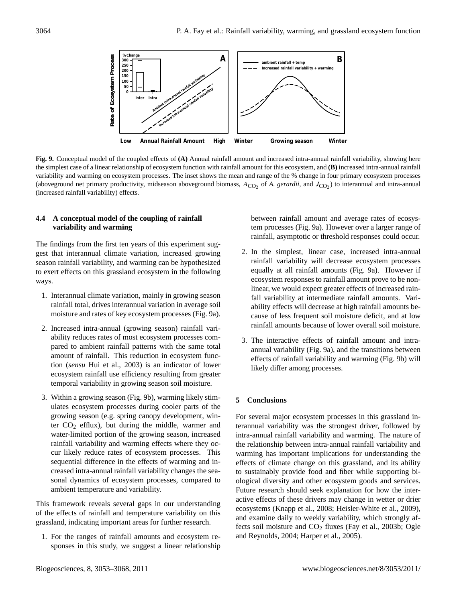

**Fig. 9.** Conceptual model of the coupled effects of **(A)** Annual rainfall amount and increased intra-annual rainfall variability, showing here the simplest case of a linear relationship of ecosystem function with rainfall amount for this ecosystem, and **(B)** increased intra-annual rainfall variability and warming on ecosystem processes. The inset shows the mean and range of the % change in four primary ecosystem processes (aboveground net primary productivity, midseason aboveground biomass,  $A_{CO_2}$  of A. *gerardii*, and  $J_{CO_2}$ ) to interannual and intra-annual (increased rainfall variability) effects.

# **4.4 A conceptual model of the coupling of rainfall variability and warming**

The findings from the first ten years of this experiment suggest that interannual climate variation, increased growing season rainfall variability, and warming can be hypothesized to exert effects on this grassland ecosystem in the following ways.

- 1. Interannual climate variation, mainly in growing season rainfall total, drives interannual variation in average soil moisture and rates of key ecosystem processes (Fig. 9a).
- 2. Increased intra-annual (growing season) rainfall variability reduces rates of most ecosystem processes compared to ambient rainfall patterns with the same total amount of rainfall. This reduction in ecosystem function (*sensu* Hui et al., 2003) is an indicator of lower ecosystem rainfall use efficiency resulting from greater temporal variability in growing season soil moisture.
- 3. Within a growing season (Fig. 9b), warming likely stimulates ecosystem processes during cooler parts of the growing season (e.g. spring canopy development, winter  $CO<sub>2</sub>$  efflux), but during the middle, warmer and water-limited portion of the growing season, increased rainfall variability and warming effects where they occur likely reduce rates of ecosystem processes. This sequential difference in the effects of warming and increased intra-annual rainfall variability changes the seasonal dynamics of ecosystem processes, compared to ambient temperature and variability.

This framework reveals several gaps in our understanding of the effects of rainfall and temperature variability on this grassland, indicating important areas for further research.

1. For the ranges of rainfall amounts and ecosystem responses in this study, we suggest a linear relationship

between rainfall amount and average rates of ecosystem processes (Fig. 9a). However over a larger range of rainfall, asymptotic or threshold responses could occur.

- 2. In the simplest, linear case, increased intra-annual rainfall variability will decrease ecosystem processes equally at all rainfall amounts (Fig. 9a). However if ecosystem responses to rainfall amount prove to be nonlinear, we would expect greater effects of increased rainfall variability at intermediate rainfall amounts. Variability effects will decrease at high rainfall amounts because of less frequent soil moisture deficit, and at low rainfall amounts because of lower overall soil moisture.
- 3. The interactive effects of rainfall amount and intraannual variability (Fig. 9a), and the transitions between effects of rainfall variability and warming (Fig. 9b) will likely differ among processes.

# **5 Conclusions**

For several major ecosystem processes in this grassland interannual variability was the strongest driver, followed by intra-annual rainfall variability and warming. The nature of the relationship between intra-annual rainfall variability and warming has important implications for understanding the effects of climate change on this grassland, and its ability to sustainably provide food and fiber while supporting biological diversity and other ecosystem goods and services. Future research should seek explanation for how the interactive effects of these drivers may change in wetter or drier ecosystems (Knapp et al., 2008; Heisler-White et al., 2009), and examine daily to weekly variability, which strongly affects soil moisture and  $CO<sub>2</sub>$  fluxes (Fay et al., 2003b; Ogle and Reynolds, 2004; Harper et al., 2005).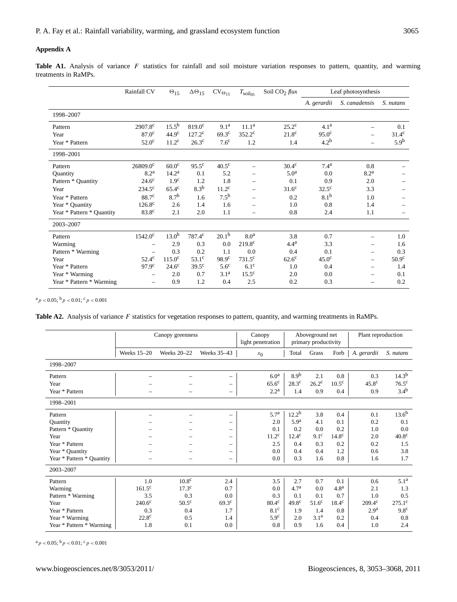## **Appendix A**

Table A1. Analysis of variance F statistics for rainfall and soil moisture variation responses to pattern, quantity, and warming treatments in RaMPs.

|                           | Rainfall CV              | $\Theta_{15}$      | $\Delta\Theta_{15}$ | $CV_{\Theta_{15}}$ | $T_{\rm soil05}$         | Soil $CO2$ flux   | Leaf photosynthesis |                          |                   |
|---------------------------|--------------------------|--------------------|---------------------|--------------------|--------------------------|-------------------|---------------------|--------------------------|-------------------|
|                           |                          |                    |                     |                    |                          |                   | A. gerardii         | S. canadensis            | S. nutans         |
| 1998-2007                 |                          |                    |                     |                    |                          |                   |                     |                          |                   |
| Pattern                   | 2907.8 <sup>c</sup>      | $15.5^{b}$         | $819.0^{\circ}$     | 9.1 <sup>a</sup>   | 11.1 <sup>a</sup>        | $25.2^{\circ}$    | 4.1 <sup>a</sup>    | $\overline{\phantom{0}}$ | 0.1               |
| Year                      | 87.0 <sup>c</sup>        | 44.9 <sup>c</sup>  | $127.2^{\rm c}$     | $69.3^{\circ}$     | $352.2^{\circ}$          | 21.8 <sup>c</sup> | 95.0 <sup>c</sup>   | $\overline{\phantom{0}}$ | $31.4^{\circ}$    |
| Year * Pattern            | 52.0 <sup>c</sup>        | 11.2 <sup>c</sup>  | 26.3 <sup>c</sup>   | 7.6 <sup>c</sup>   | 1.2                      | 1.4               | 4.2 <sup>b</sup>    | $\overline{\phantom{0}}$ | 5.9 <sup>b</sup>  |
| 1998-2001                 |                          |                    |                     |                    |                          |                   |                     |                          |                   |
| Pattern                   | $26809.0^{\circ}$        | 60.0 <sup>c</sup>  | $95.5^{\circ}$      | $40.5^{\circ}$     |                          | $30.4^\circ$      | $7.4^{a}$           | 0.8                      |                   |
| Quantity                  | 8.2 <sup>a</sup>         | 14.2 <sup>a</sup>  | 0.1                 | 5.2                |                          | 5.0 <sup>a</sup>  | 0.0                 | 8.2 <sup>a</sup>         |                   |
| Pattern * Quantity        | $24.6^{\circ}$           | 1.9 <sup>c</sup>   | 1.2                 | 1.8                |                          | 0.1               | 0.9                 | 2.0                      |                   |
| Year                      | $234.5^{\circ}$          | $65.4^{\circ}$     | 8.3 <sup>b</sup>    | $11.2^{\circ}$     |                          | 31.6 <sup>c</sup> | $32.5^{\circ}$      | 3.3                      |                   |
| Year * Pattern            | 88.7 <sup>c</sup>        | 8.7 <sup>b</sup>   | 1.6                 | 7.5 <sup>b</sup>   |                          | 0.2               | 8.1 <sup>b</sup>    | 1.0                      |                   |
| Year * Quantity           | $126.8^{\circ}$          | 2.6                | 1.4                 | 1.6                | $\overline{\phantom{0}}$ | 1.0               | 0.8                 | 1.4                      |                   |
| Year * Pattern * Quantity | 83.8 <sup>c</sup>        | 2.1                | 2.0                 | 1.1                | $\overline{\phantom{0}}$ | 0.8               | 2.4                 | 1.1                      |                   |
| 2003-2007                 |                          |                    |                     |                    |                          |                   |                     |                          |                   |
| Pattern                   | $1542.0^{\circ}$         | $13.0^{b}$         | 787.4 <sup>c</sup>  | 20.1 <sup>b</sup>  | 8.0 <sup>a</sup>         | 3.8               | 0.7                 | $\overline{\phantom{0}}$ | 1.0               |
| Warming                   |                          | 2.9                | 0.3                 | 0.0                | $219.8^{\circ}$          | 4.4 <sup>a</sup>  | 3.3                 |                          | 1.6               |
| Pattern * Warming         |                          | 0.3                | 0.2                 | 1.1                | 0.0                      | 0.4               | 0.1                 | $\overline{\phantom{0}}$ | 0.3               |
| Year                      | $52.4^{\circ}$           | 115.0 <sup>c</sup> | $53.1^\circ$        | 98.9 <sup>c</sup>  | $731.5^{\circ}$          | $62.6^{\circ}$    | 45.0 <sup>c</sup>   | $\qquad \qquad -$        | 50.9 <sup>c</sup> |
| Year * Pattern            | 97.9 <sup>c</sup>        | $24.6^{\circ}$     | $39.5^{\circ}$      | $5.6^{\circ}$      | $6.1^\circ$              | 1.0               | 0.4                 | $\overline{\phantom{0}}$ | 1.4               |
| Year * Warming            |                          | 2.0                | 0.7                 | 3.1 <sup>a</sup>   | $15.5^{\circ}$           | 2.0               | 0.0                 | $\overline{\phantom{0}}$ | 0.1               |
| Year * Pattern * Warming  | $\overline{\phantom{0}}$ | 0.9                | 1.2                 | 0.4                | 2.5                      | 0.2               | 0.3                 | $\overline{\phantom{0}}$ | 0.2               |

 $\mathrm{^{a}p} < 0.05;$   $\mathrm{^{b}p} < 0.01;$   $\mathrm{^{c}p} < 0.001$ 

Table A2. Analysis of variance F statistics for vegetation responses to pattern, quantity, and warming treatments in RaMPs.

|                           |                    | Canopy greenness   | Canopy<br>light penetration |                    | Aboveground net<br>primary productivity |                   | Plant reproduction |                   |                   |  |
|---------------------------|--------------------|--------------------|-----------------------------|--------------------|-----------------------------------------|-------------------|--------------------|-------------------|-------------------|--|
|                           | <b>Weeks 15-20</b> | <b>Weeks 20-22</b> | Weeks 35-43                 | $x_0$              | Total                                   | Grass             | Forb               | A. gerardii       | S. nutans         |  |
| 1998-2007                 |                    |                    |                             |                    |                                         |                   |                    |                   |                   |  |
| Pattern                   |                    |                    | -                           | 6.0 <sup>a</sup>   | 8.9 <sup>b</sup>                        | 2.1               | 0.8                | 0.3               | 14.3 <sup>b</sup> |  |
| Year                      |                    |                    | $\overline{\phantom{m}}$    | $65.6^{\circ}$     | $28.3^{\circ}$                          | $26.2^{\circ}$    | $10.5^{\circ}$     | 45.8 <sup>c</sup> | $76.5^{\circ}$    |  |
| Year * Pattern            |                    |                    | $\overline{\phantom{m}}$    | $2.2^{\mathrm{a}}$ | 1.4                                     | 0.9               | 0.4                | 0.9               | 3.4 <sup>b</sup>  |  |
| 1998-2001                 |                    |                    |                             |                    |                                         |                   |                    |                   |                   |  |
| Pattern                   |                    |                    | $\overline{\phantom{0}}$    | 5.7 <sup>a</sup>   | 12.2 <sup>b</sup>                       | 3.8               | 0.4                | 0.1               | $13.6^{b}$        |  |
| Quantity                  |                    |                    | -                           | 2.0                | 5.9 <sup>a</sup>                        | 4.1               | 0.1                | 0.2               | 0.1               |  |
| Pattern * Quantity        |                    |                    | $\qquad \qquad -$           | 0.1                | 0.2                                     | 0.0               | 0.2                | 1.0               | 0.0               |  |
| Year                      |                    |                    | $\overline{\phantom{0}}$    | $11.2^{\rm c}$     | $12.4^{\circ}$                          | 9.1 <sup>c</sup>  | 14.8 <sup>c</sup>  | 2.0               | 40.8 <sup>c</sup> |  |
| Year * Pattern            |                    |                    | $\overline{\phantom{0}}$    | 2.5                | 0.4                                     | 0.3               | 0.2                | 0.2               | 1.5               |  |
| Year * Quantity           |                    |                    | $\overline{\phantom{m}}$    | 0.0                | 0.4                                     | 0.4               | 1.2                | 0.6               | 3.8               |  |
| Year * Pattern * Quantity |                    |                    | $\qquad \qquad -$           | 0.0                | 0.3                                     | 1.6               | 0.8                | 1.6               | 1.7               |  |
| 2003-2007                 |                    |                    |                             |                    |                                         |                   |                    |                   |                   |  |
| Pattern                   | 1.0                | 10.8 <sup>c</sup>  | 2.4                         | 3.5                | 2.7                                     | 0.7               | 0.1                | 0.6               | 5.1 <sup>a</sup>  |  |
| Warming                   | $161.5^{\circ}$    | 17.3 <sup>c</sup>  | 0.7                         | 0.0                | 4.7 <sup>a</sup>                        | 0.0               | 4.8 <sup>a</sup>   | 2.1               | 1.3               |  |
| Pattern * Warming         | 3.5                | 0.3                | 0.0                         | 0.3                | 0.1                                     | 0.1               | 0.7                | 1.0               | 0.5               |  |
| Year                      | $240.6^{\circ}$    | $50.5^{\circ}$     | 69.3 <sup>c</sup>           | 80.4 <sup>c</sup>  | 49.8 <sup>c</sup>                       | 51.6 <sup>c</sup> | 18.4 <sup>c</sup>  | $209.4^{\circ}$   | $275.1^{\circ}$   |  |
| Year * Pattern            | 0.3                | 0.4                | 1.7                         | $8.1^\circ$        | 1.9                                     | 1.4               | 0.8                | 2.9 <sup>a</sup>  | 9.8 <sup>c</sup>  |  |
| Year * Warming            | 22.8 <sup>c</sup>  | 0.5                | 1.4                         | 5.9 <sup>c</sup>   | 2.0                                     | 3.1 <sup>a</sup>  | 0.2                | 0.4               | 0.8               |  |
| Year * Pattern * Warming  | 1.8                | 0.1                | 0.0                         | 0.8                | 0.9                                     | 1.6               | 0.4                | 1.0               | 2.4               |  |

 $^{\text{a}}p<0.05;$   $^{\text{b}}p<0.01;$   $^{\text{c}}p<0.001$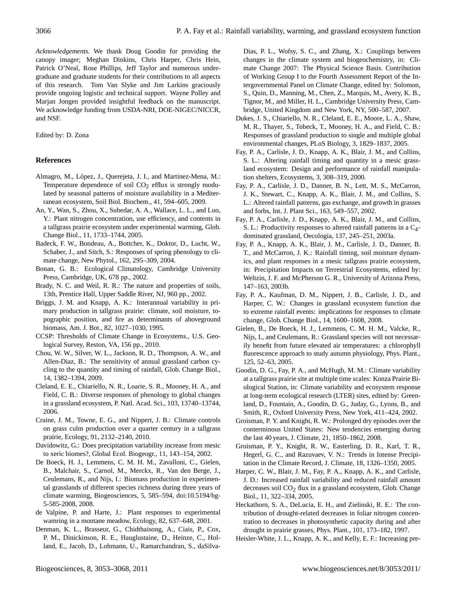*Acknowledgements.* We thank Doug Goodin for providing the canopy imager; Meghan Dinkins, Chris Harper, Chris Hein, Patrick O'Neal, Rose Phillips, Jeff Taylor and numerous undergraduate and graduate students for their contributions to all aspects of this research. Tom Van Slyke and Jim Larkins graciously provide ongoing logistic and technical support. Wayne Polley and Marjan Jongen provided insightful feedback on the manuscript. We acknowledge funding from USDA-NRI, DOE-NIGEC/NICCR, and NSF.

Edited by: D. Zona

# **References**

- Almagro, M., López, J., Querejeta, J. I., and Martinez-Mena, M.: Temperature dependence of soil  $CO<sub>2</sub>$  efflux is strongly modulated by seasonal patterns of moisture availability in a Mediterranean ecosystem, Soil Biol. Biochem., 41, 594–605, 2009.
- An, Y., Wan, S., Zhou, X., Subedar, A. A., Wallace, L. L., and Luo, Y.: Plant nitrogen concentration, use efficiency, and contents in a tallgrass prairie ecosystem under experimental warming, Glob. Change Biol., 11, 1733–1744, 2005.
- Badeck, F. W., Bondeau, A., Bottcher, K., Doktor, D., Lucht, W., Schaber, J., and Sitch, S.: Responses of spring phenology to climate change, New Phytol., 162, 295–309, 2004.
- Bonan, G. B.: Ecological Climatology, Cambridge University Press, Cambridge, UK, 678 pp., 2002.
- Brady, N. C. and Weil, R. R.: The nature and properties of soils, 13th, Prentice Hall, Upper Saddle River, NJ, 960 pp., 2002.
- Briggs, J. M. and Knapp, A. K.: Interannual variability in primary production in tallgrass prairie: climate, soil moisture, topographic position, and fire as determinants of aboveground biomass, Am. J. Bot., 82, 1027–1030, 1995.
- CCSP: Thresholds of Climate Change in Ecosystems., U.S. Geological Survey, Reston, VA, 156 pp., 2010.
- Chou, W. W., Silver, W. L., Jackson, R. D., Thompson, A. W., and Allen-Diaz, B.: The sensitivity of annual grassland carbon cycling to the quantity and timing of rainfall, Glob. Change Biol., 14, 1382–1394, 2009.
- Cleland, E. E., Chiariello, N. R., Loarie, S. R., Mooney, H. A., and Field, C. B.: Diverse responses of phenology to global changes in a grassland ecosystem, P. Natl. Acad. Sci., 103, 13740–13744, 2006.
- Craine, J. M., Towne, E. G., and Nippert, J. B.: Climate controls on grass culm production over a quarter century in a tallgrass prairie, Ecology, 91, 2132–2140, 2010.
- Davidowitz, G.: Does precipitation variability increase from mesic to xeric biomes?, Global Ecol. Biogeogr., 11, 143–154, 2002.
- De Boeck, H. J., Lemmens, C. M. H. M., Zavalloni, C., Gielen, B., Malchair, S., Carnol, M., Merckx, R., Van den Berge, J., Ceulemans, R., and Nijs, I.: Biomass production in experimental grasslands of different species richness during three years of climate warming, Biogeosciences, 5, 585–594, [doi:10.5194/bg-](http://dx.doi.org/10.5194/bg-5-585-2008)[5-585-2008,](http://dx.doi.org/10.5194/bg-5-585-2008) 2008.
- de Valpine, P. and Harte, J.: Plant responses to experimental wamring in a montane meadow, Ecology, 82, 637–648, 2001.
- Denman, K. L., Brasseur, G., Chidthaisong, A., Ciais, P., Cox, P. M., Dinickinson, R. E., Hauglustaine, D., Heinze, C., Holland, E., Jacob, D., Lohmann, U., Ramarchandran, S., daSilva-

Dias, P. L., Wofsy, S. C., and Zhang, X.: Couplings between changes in the climate system and biogeochemistry, in: Climate Change 2007: The Physical Science Basis. Contribution of Working Group I to the Fourth Assessment Report of the Intergovernmental Panel on Climate Change, edited by: Solomon, S., Quin, D., Manning, M., Chen, Z., Marquis, M., Avery, K. B., Tignor, M., and Miller, H. L., Cambridge University Press, Cambridge, United Kingdom and New York, NY, 500–587, 2007.

- Dukes, J. S., Chiariello, N. R., Cleland, E. E., Moore, L. A., Shaw, M. R., Thayer, S., Tobeck, T., Mooney, H. A., and Field, C. B.: Responses of grassland production to single and multiple global environmental changes, PLoS Biology, 3, 1829–1837, 2005.
- Fay, P. A., Carlisle, J. D., Knapp, A. K., Blair, J. M., and Collins, S. L.: Altering rainfall timing and quantity in a mesic grassland ecosystem: Design and performance of rainfall manipulation shelters, Ecosystems, 3, 308–319, 2000.
- Fay, P. A., Carlisle, J. D., Danner, B. N., Lett, M. S., McCarron, J. K., Stewart, C., Knapp, A. K., Blair, J. M., and Collins, S. L.: Altered rainfall patterns, gas exchange, and growth in grasses and forbs, Int. J. Plant Sci., 163, 549–557, 2002.
- Fay, P. A., Carlisle, J. D., Knapp, A. K., Blair, J. M., and Collins, S. L.: Productivity responses to altered rainfall patterns in a C4 dominated grassland, Oecologia, 137, 245–251, 2003a.
- Fay, P. A., Knapp, A. K., Blair, J. M., Carlisle, J. D., Danner, B. T., and McCarron, J. K.: Rainfall timing, soil moisture dynamics, and plant responses in a mesic tallgrass prairie ecosystem, in: Precipitation Impacts on Terrestrial Ecosystems, edited by: Weltzin, J. F. and McPherson G. R., University of Arizona Press, 147–163, 2003b.
- Fay, P. A., Kaufman, D. M., Nippert, J. B., Carlisle, J. D., and Harper, C. W.: Changes in grassland ecosystem function due to extreme rainfall events: implications for responses to climate change, Glob. Change Biol., 14, 1600–1608, 2008.
- Gielen, B., De Boeck, H. J., Lemmens, C. M. H. M., Valcke, R., Nijs, I., and Ceulemans, R.: Grassland species will not necessarily benefit from future elevated air temperatures: a chlorophyll fluorescence approach to study autumn physiology, Phys. Plant., 125, 52–63, 2005.
- Goodin, D. G., Fay, P. A., and McHugh, M. M.: Climate variability at a tallgrass prairie site at multiple time scales: Konza Prairie Biological Station, in: Climate variability and ecosystem response at long-term ecological research (LTER) sites, edited by: Greenland, D., Fountain, A., Goodin, D. G., Juday, G., Lyons, B., and Smith, R., Oxford University Press, New York, 411–424, 2002.
- Groisman, P. Y. and Knight, R. W.: Prolonged dry episodes over the conterminous United States: New tendencies emerging during the last 40 years, J. Climate, 21, 1850–1862, 2008.
- Groisman, P. Y., Knight, R. W., Easterling, D. R., Karl, T. R., Hegerl, G. C., and Razuvaev, V. N.: Trends in Intense Precipitation in the Climate Record, J. Climate, 18, 1326–1350, 2005.
- Harper, C. W., Blair, J. M., Fay, P. A., Knapp, A. K., and Carlisle, J. D.: Increased rainfall variability and reduced rainfall amount decreases soil  $CO<sub>2</sub>$  flux in a grassland ecosystem, Glob. Change Biol., 11, 322–334, 2005.
- Heckathorn, S. A., DeLucia, E. H., and Zielinski, R. E.: The contribution of drought-related decreases in foliar nitrogen concentration to decreases in photosynthetic capacity during and after drought in prairie grasses, Phys. Plant., 101, 173–182, 1997.
- Heisler-White, J. L., Knapp, A. K., and Kelly, E. F.: Increasing pre-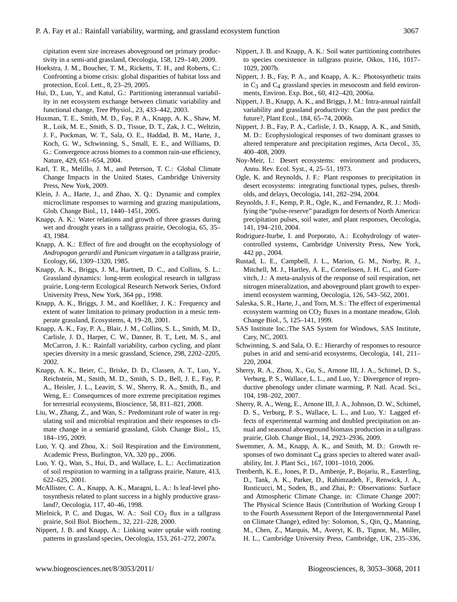cipitation event size increases aboveground net primary productivity in a semi-arid grassland, Oecologia, 158, 129–140, 2009.

- Hoekstra, J. M., Boucher, T. M., Ricketts, T. H., and Roberts, C.: Confronting a biome crisis: global disparities of habitat loss and protection, Ecol. Lett., 8, 23–29, 2005.
- Hui, D., Luo, Y., and Katul, G.: Partitioning interannual variability in net ecosystem exchange between climatic variability and functional change, Tree Physiol., 23, 433–442, 2003.
- Huxman, T. E., Smith, M. D., Fay, P. A., Knapp, A. K., Shaw, M. R., Loik, M. E., Smith, S. D., Tissue, D. T., Zak, J. C., Weltzin, J. F., Pockman, W. T., Sala, O. E., Haddad, B. M., Harte, J., Koch, G. W., Schwinning, S., Small, E. E., and Williams, D. G.: Convergence across biomes to a common rain-use efficiency, Nature, 429, 651–654, 2004.
- Karl, T. R., Melillo, J. M., and Peterson, T. C.: Global Climate Change Impacts in the United States, Cambridge University Press, New York, 2009.
- Klein, J. A., Harte, J., and Zhao, X. Q.: Dynamic and complex microclimate responses to warming and grazing manipulations, Glob. Change Biol., 11, 1440–1451, 2005.
- Knapp, A. K.: Water relations and growth of three grasses during wet and drought years in a tallgrass prairie, Oecologia, 65, 35– 43, 1984.
- Knapp, A. K.: Effect of fire and drought on the ecophysiology of *Andropogon gerardii* and *Panicum virgatum* in a tallgrass prairie, Ecology, 66, 1309–1320, 1985.
- Knapp, A. K., Briggs, J. M., Hartnett, D. C., and Collins, S. L.: Grassland dynamics: long-term ecological research in tallgrass prairie, Long-term Ecological Research Network Series, Oxford University Press, New York, 364 pp., 1998.
- Knapp, A. K., Briggs, J. M., and Koelliker, J. K.: Frequency and extent of water limitation to primary production in a mesic temperate grassland, Ecosystems, 4, 19–28, 2001.
- Knapp, A. K., Fay, P. A., Blair, J. M., Collins, S. L., Smith, M. D., Carlisle, J. D., Harper, C. W., Danner, B. T., Lett, M. S., and McCarron, J. K.: Rainfall variability, carbon cycling, and plant species diversity in a mesic grassland, Science, 298, 2202–2205, 2002.
- Knapp, A. K., Beier, C., Briske, D. D., Classen, A. T., Luo, Y., Reichstein, M., Smith, M. D., Smith, S. D., Bell, J. E., Fay, P. A., Heisler, J. L., Leavitt, S. W., Sherry, R. A., Smith, B., and Weng, E.: Consequences of more extreme precipitation regimes for terrestrial ecosystems, Bioscience, 58, 811–821, 2008.
- Liu, W., Zhang, Z., and Wan, S.: Predominant role of water in regulating soil and microbial respiration and their responses to climate change in a semiarid grassland, Glob. Change Biol., 15, 184–195, 2009.
- Luo, Y. Q. and Zhou, X.: Soil Respiration and the Environment, Academic Press, Burlington, VA, 320 pp., 2006.
- Luo, Y. Q., Wan, S., Hui, D., and Wallace, L. L.: Acclimatization of soil respiration to warming in a tallgrass prairie, Nature, 413, 622–625, 2001.
- McAllister, C. A., Knapp, A. K., Maragni, L. A.: Is leaf-level photosynthesis related to plant success in a highly productive grassland?, Oecologia, 117, 40–46, 1998.
- Mielnick, P. C. and Dugas, W. A.: Soil  $CO<sub>2</sub>$  flux in a tallgrass prairie, Soil Biol. Biochem., 32, 221–228, 2000.
- Nippert, J. B. and Knapp, A.: Linking water uptake with rooting patterns in grassland species, Oecologia, 153, 261–272, 2007a.
- Nippert, J. B. and Knapp, A. K.: Soil water partitioning contributes to species coexistence in tallgrass prairie, Oikos, 116, 1017– 1029, 2007b.
- Nippert, J. B., Fay, P. A., and Knapp, A. K.: Photosynthetic traits in  $C_3$  and  $C_4$  grassland species in mesocosm and field environments, Environ. Exp. Bot., 60, 412–420, 2006a.
- Nippert, J. B., Knapp, A. K., and Briggs, J. M.: Intra-annual rainfall variability and grassland productivity: Can the past predict the future?, Plant Ecol., 184, 65–74, 2006b.
- Nippert, J. B., Fay, P. A., Carlisle, J. D., Knapp, A. K., and Smith, M. D.: Ecophysiological responses of two dominant grasses to altered temperature and precipitation regimes, Acta Oecol., 35, 400–408, 2009.
- Noy-Meir, I.: Desert ecosystems: environment and producers, Annu. Rev. Ecol. Syst., 4, 25–51, 1973.
- Ogle, K. and Reynolds, J. F.: Plant responses to precipitation in desert ecosystems: integrating functional types, pulses, thresholds, and delays, Oecologia, 141, 282–294, 2004.
- Reynolds, J. F., Kemp, P. R., Ogle, K., and Fernandez, R. J.: Modifying the "pulse-reserve" paradigm for deserts of North America: precipitation pulses, soil water, and plant responses, Oecologia, 141, 194–210, 2004.
- Rodriguez-Iturbe, I. and Porporato, A.: Ecohydrology of watercontrolled systems, Cambridge University Press, New York, 442 pp., 2004.
- Rustad, L. E., Campbell, J. L., Marion, G. M., Norby, R. J., Mitchell, M. J., Hartley, A. E., Cornelissen, J. H. C., and Gurevitch, J.: A meta-analysis of the response of soil respiration, net nitrogen mineralization, and aboveground plant growth to experimentl ecosystem warming, Oecologia, 126, 543–562, 2001.
- Saleska, S. R., Harte, J., and Torn, M. S.: The effect of experimental ecosystem warming on  $CO<sub>2</sub>$  fluxes in a montane meadow, Glob. Change Biol., 5, 125–141, 1999.
- SAS Institute Inc.:The SAS System for Windows, SAS Institute, Cary, NC, 2003.
- Schwinning, S. and Sala, O. E.: Hierarchy of responses to resource pulses in arid and semi-arid ecosystems, Oecologia, 141, 211– 220, 2004.
- Sherry, R. A., Zhou, X., Gu, S., Arnone III, J. A., Schimel, D. S., Verburg, P. S., Wallace, L. L., and Luo, Y.: Divergence of reproductive phenology under climate warming, P. Natl. Acad. Sci., 104, 198–202, 2007.
- Sherry, R. A., Weng, E., Arnone III, J. A., Johnson, D. W., Schimel, D. S., Verburg, P. S., Wallace, L. L., and Luo, Y.: Lagged effects of experimental warming and doubled precipitation on annual and seasonal aboveground biomass production in a tallgrass prairie, Glob. Change Biol., 14, 2923–2936, 2009.
- Swemmer, A. M., Knapp, A. K., and Smith, M. D.: Growth responses of two dominant  $C_4$  grass species to altered water availability, Int. J. Plant Sci., 167, 1001–1010, 2006.
- Trenberth, K. E., Jones, P. D., Ambenje, P., Bojariu, R., Easterling, D., Tank, A. K., Parker, D., Rahimzadeh, F., Renwick, J. A., Rusticucci, M., Soden, B., and Zhai, P.: Observations: Surface and Atmospheric Climate Change, in: Climate Change 2007: The Physical Science Basis (Contribution of Working Group I to the Fourth Assessment Report of the Intergovernmental Panel on Climate Change), edited by: Solomon, S., Qin, Q., Manning, M., Chen, Z., Marquis, M., Averyt, K. B., Tignor, M., Miller, H. L., Cambridge University Press, Cambridge, UK, 235–336,